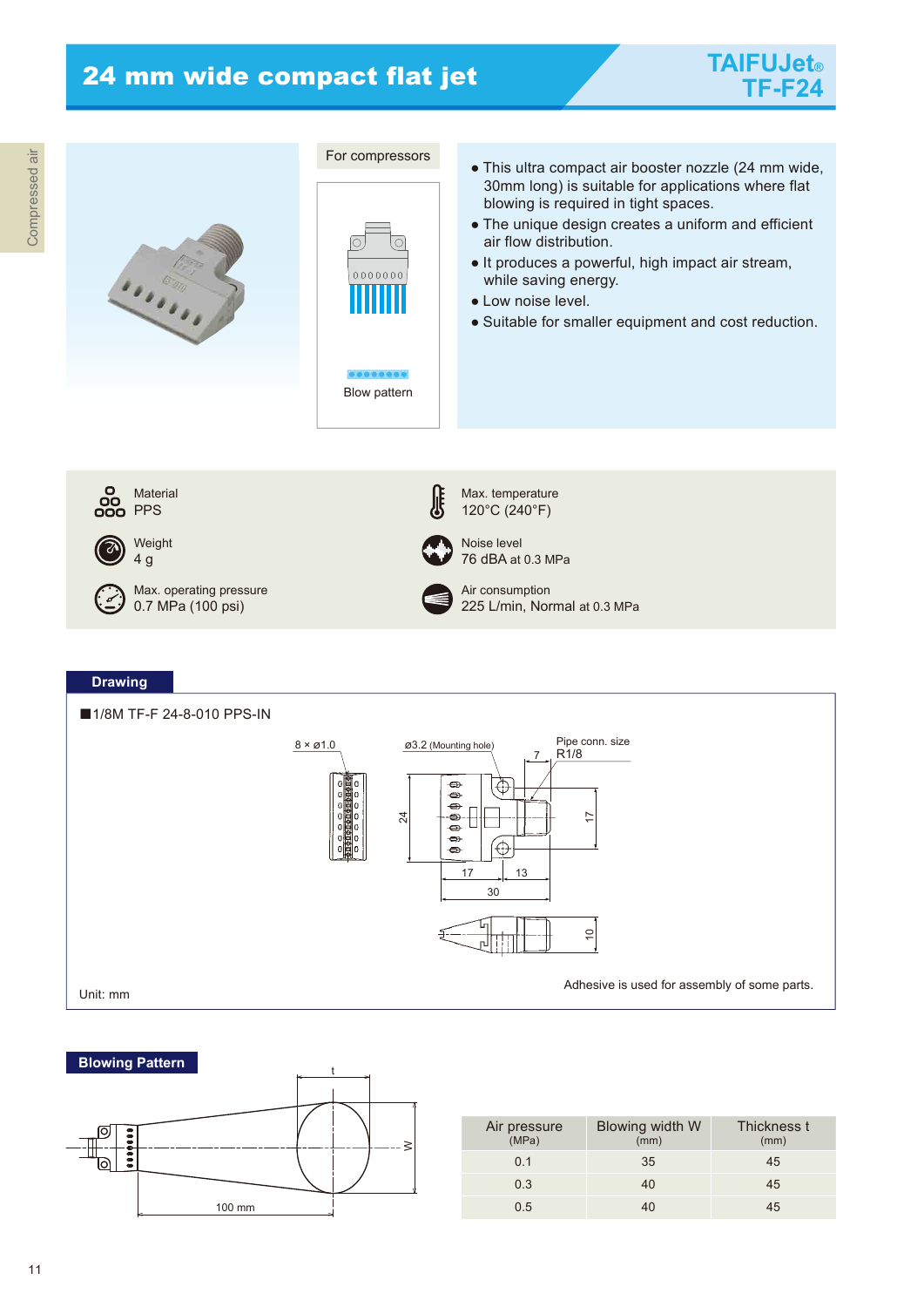

Unit: mm



| Air pressure<br>(MPa) | Blowing width W<br>(mm) | Thickness t<br>(mm) |
|-----------------------|-------------------------|---------------------|
|                       |                         |                     |
| 0 <sub>1</sub>        | 35                      | 45                  |
| 0.3                   | 40                      | 45                  |
| ი 5                   |                         | 45                  |

Adhesive is used for assembly of some parts.